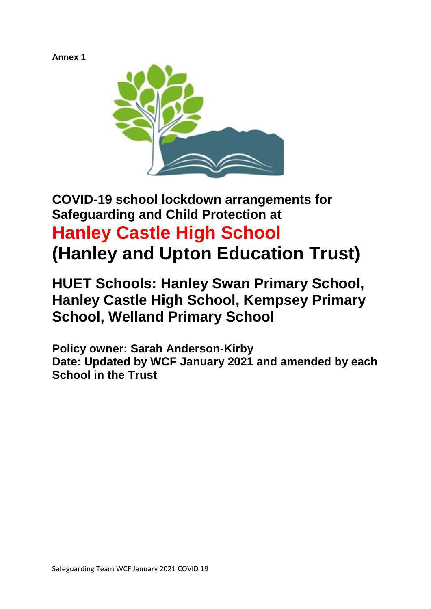## **Annex 1**



# **COVID-19 school lockdown arrangements for Safeguarding and Child Protection at Hanley Castle High School (Hanley and Upton Education Trust)**

## **HUET Schools: Hanley Swan Primary School, Hanley Castle High School, Kempsey Primary School, Welland Primary School**

**Policy owner: Sarah Anderson-Kirby Date: Updated by WCF January 2021 and amended by each School in the Trust**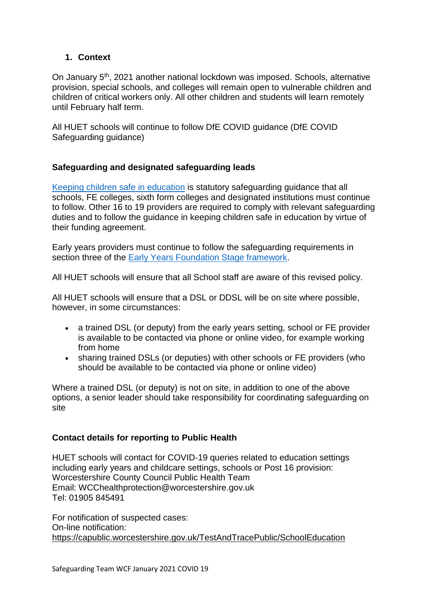## **1. Context**

On January 5th, 2021 another national lockdown was imposed. Schools, alternative provision, special schools, and colleges will remain open to vulnerable children and children of critical workers only. All other children and students will learn remotely until February half term.

All HUET schools will continue to follow DfE COVID guidance (DfE COVID Safeguarding guidance)

## **Safeguarding and designated safeguarding leads**

[Keeping children safe in education](https://www.gov.uk/government/publications/keeping-children-safe-in-education--2) is statutory safeguarding guidance that all schools, FE colleges, sixth form colleges and designated institutions must continue to follow. Other 16 to 19 providers are required to comply with relevant safeguarding duties and to follow the guidance in keeping children safe in education by virtue of their funding agreement.

Early years providers must continue to follow the safeguarding requirements in section three of the [Early Years Foundation Stage framework.](https://www.gov.uk/government/publications/early-years-foundation-stage-framework--2)

All HUET schools will ensure that all School staff are aware of this revised policy.

All HUET schools will ensure that a DSL or DDSL will be on site where possible, however, in some circumstances:

- a trained DSL (or deputy) from the early years setting, school or FE provider is available to be contacted via phone or online video, for example working from home
- sharing trained DSLs (or deputies) with other schools or FE providers (who should be available to be contacted via phone or online video)

Where a trained DSL (or deputy) is not on site, in addition to one of the above options, a senior leader should take responsibility for coordinating safeguarding on site

#### **Contact details for reporting to Public Health**

HUET schools will contact for COVID-19 queries related to education settings including early years and childcare settings, schools or Post 16 provision: Worcestershire County Council Public Health Team Email: WCChealthprotection@worcestershire.gov.uk Tel: 01905 845491

For notification of suspected cases: On-line notification: <https://capublic.worcestershire.gov.uk/TestAndTracePublic/SchoolEducation>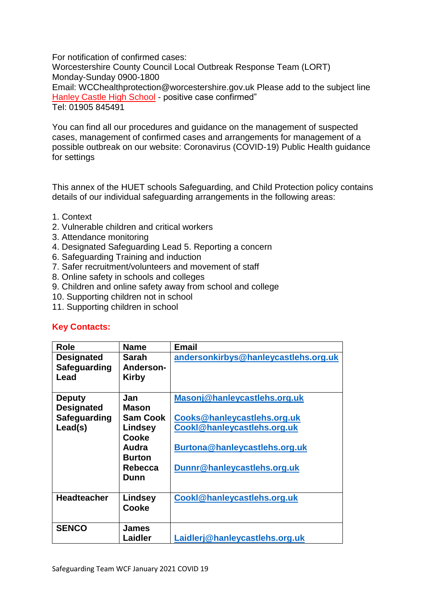For notification of confirmed cases: Worcestershire County Council Local Outbreak Response Team (LORT) Monday-Sunday 0900-1800 Email: WCChealthprotection@worcestershire.gov.uk Please add to the subject line Hanley Castle High School - positive case confirmed" Tel: 01905 845491

You can find all our procedures and guidance on the management of suspected cases, management of confirmed cases and arrangements for management of a possible outbreak on our website: Coronavirus (COVID-19) Public Health guidance for settings

This annex of the HUET schools Safeguarding, and Child Protection policy contains details of our individual safeguarding arrangements in the following areas:

- 1. Context
- 2. Vulnerable children and critical workers
- 3. Attendance monitoring
- 4. Designated Safeguarding Lead 5. Reporting a concern
- 6. Safeguarding Training and induction
- 7. Safer recruitment/volunteers and movement of staff
- 8. Online safety in schools and colleges
- 9. Children and online safety away from school and college
- 10. Supporting children not in school
- 11. Supporting children in school

#### **Key Contacts:**

| <b>Role</b>                                                   | <b>Name</b>                                                                                             | <b>Email</b>                                                                                                                                               |
|---------------------------------------------------------------|---------------------------------------------------------------------------------------------------------|------------------------------------------------------------------------------------------------------------------------------------------------------------|
| <b>Designated</b><br>Safeguarding<br>Lead                     | Sarah<br><b>Anderson-</b><br>Kirby                                                                      | andersonkirbys@hanleycastlehs.org.uk                                                                                                                       |
| <b>Deputy</b><br><b>Designated</b><br>Safeguarding<br>Lead(s) | Jan<br><b>Mason</b><br><b>Sam Cook</b><br>Lindsey<br>Cooke<br>Audra<br><b>Burton</b><br>Rebecca<br>Dunn | Masonj@hanleycastlehs.org.uk<br>Cooks@hanleycastlehs.org.uk<br>Cookl@hanleycastlehs.org.uk<br>Burtona@hanleycastlehs.org.uk<br>Dunnr@hanleycastlehs.org.uk |
| <b>Headteacher</b>                                            | Lindsey<br>Cooke                                                                                        | Cookl@hanleycastlehs.org.uk                                                                                                                                |
| <b>SENCO</b>                                                  | James<br>Laidler                                                                                        | Laidlerj@hanleycastlehs.org.uk                                                                                                                             |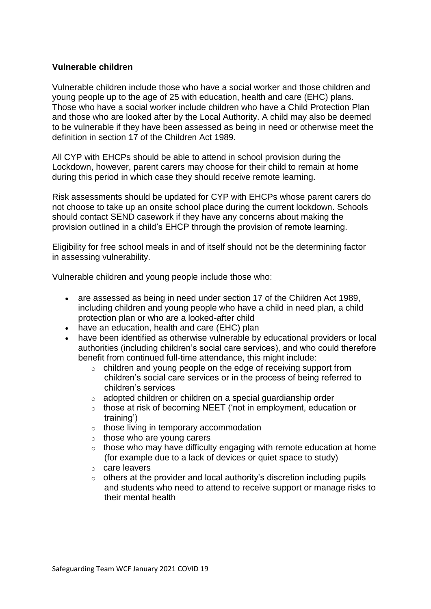#### **Vulnerable children**

Vulnerable children include those who have a social worker and those children and young people up to the age of 25 with education, health and care (EHC) plans. Those who have a social worker include children who have a Child Protection Plan and those who are looked after by the Local Authority. A child may also be deemed to be vulnerable if they have been assessed as being in need or otherwise meet the definition in section 17 of the Children Act 1989.

All CYP with EHCPs should be able to attend in school provision during the Lockdown, however, parent carers may choose for their child to remain at home during this period in which case they should receive remote learning.

Risk assessments should be updated for CYP with EHCPs whose parent carers do not choose to take up an onsite school place during the current lockdown. Schools should contact SEND casework if they have any concerns about making the provision outlined in a child's EHCP through the provision of remote learning.

Eligibility for free school meals in and of itself should not be the determining factor in assessing vulnerability.

Vulnerable children and young people include those who:

- are assessed as being in need under section 17 of the Children Act 1989, including children and young people who have a child in need plan, a child protection plan or who are a looked-after child
- have an education, health and care (EHC) plan
- have been identified as otherwise vulnerable by educational providers or local authorities (including children's social care services), and who could therefore benefit from continued full-time attendance, this might include:
	- o children and young people on the edge of receiving support from children's social care services or in the process of being referred to children's services
	- o adopted children or children on a special guardianship order
	- o those at risk of becoming NEET ('not in employment, education or training')
	- o those living in temporary accommodation
	- $\circ$  those who are young carers
	- $\circ$  those who may have difficulty engaging with remote education at home (for example due to a lack of devices or quiet space to study)
	- o care leavers
	- $\circ$  others at the provider and local authority's discretion including pupils and students who need to attend to receive support or manage risks to their mental health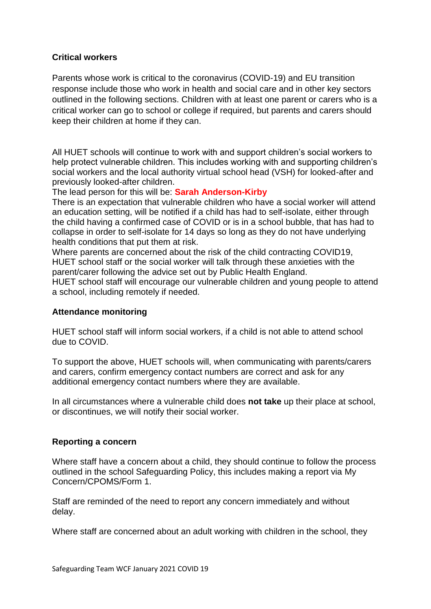## **Critical workers**

Parents whose work is critical to the coronavirus (COVID-19) and EU transition response include those who work in health and social care and in other key sectors outlined in the following sections. Children with at least one parent or carers who is a critical worker can go to school or college if required, but parents and carers should keep their children at home if they can.

All HUET schools will continue to work with and support children's social workers to help protect vulnerable children. This includes working with and supporting children's social workers and the local authority virtual school head (VSH) for looked-after and previously looked-after children.

The lead person for this will be: **Sarah Anderson-Kirby**

There is an expectation that vulnerable children who have a social worker will attend an education setting, will be notified if a child has had to self-isolate, either through the child having a confirmed case of COVID or is in a school bubble, that has had to collapse in order to self-isolate for 14 days so long as they do not have underlying health conditions that put them at risk.

Where parents are concerned about the risk of the child contracting COVID19, HUET school staff or the social worker will talk through these anxieties with the parent/carer following the advice set out by Public Health England.

HUET school staff will encourage our vulnerable children and young people to attend a school, including remotely if needed.

#### **Attendance monitoring**

HUET school staff will inform social workers, if a child is not able to attend school due to COVID.

To support the above, HUET schools will, when communicating with parents/carers and carers, confirm emergency contact numbers are correct and ask for any additional emergency contact numbers where they are available.

In all circumstances where a vulnerable child does **not take** up their place at school, or discontinues, we will notify their social worker.

#### **Reporting a concern**

Where staff have a concern about a child, they should continue to follow the process outlined in the school Safeguarding Policy, this includes making a report via My Concern/CPOMS/Form 1.

Staff are reminded of the need to report any concern immediately and without delay.

Where staff are concerned about an adult working with children in the school, they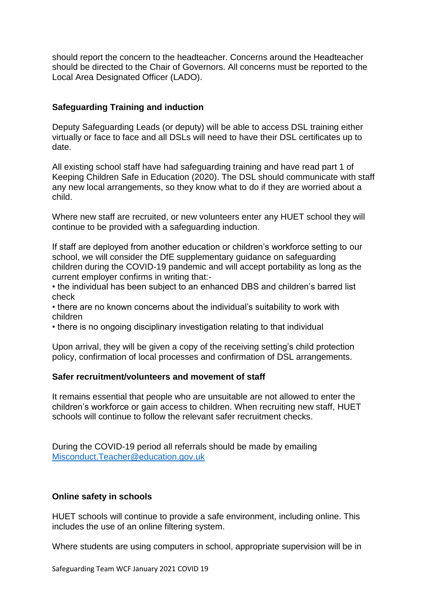should report the concern to the headteacher. Concerns around the Headteacher should be directed to the Chair of Governors. All concerns must be reported to the Local Area Designated Officer (LADO).

## **Safeguarding Training and induction**

Deputy Safeguarding Leads (or deputy) will be able to access DSL training either virtually or face to face and all DSLs will need to have their DSL certificates up to date.

All existing school staff have had safeguarding training and have read part 1 of Keeping Children Safe in Education (2020). The DSL should communicate with staff any new local arrangements, so they know what to do if they are worried about a child.

Where new staff are recruited, or new volunteers enter any HUET school they will continue to be provided with a safeguarding induction.

If staff are deployed from another education or children's workforce setting to our school, we will consider the DfE supplementary guidance on safeguarding children during the COVID-19 pandemic and will accept portability as long as the current employer confirms in writing that:-

• the individual has been subject to an enhanced DBS and children's barred list check

• there are no known concerns about the individual's suitability to work with children

• there is no ongoing disciplinary investigation relating to that individual

Upon arrival, they will be given a copy of the receiving setting's child protection policy, confirmation of local processes and confirmation of DSL arrangements.

#### **Safer recruitment/volunteers and movement of staff**

It remains essential that people who are unsuitable are not allowed to enter the children's workforce or gain access to children. When recruiting new staff, HUET schools will continue to follow the relevant safer recruitment checks.

During the COVID-19 period all referrals should be made by emailing [Misconduct.Teacher@education.gov.uk](mailto:Misconduct.Teacher@education.gov.uk)

#### **Online safety in schools**

HUET schools will continue to provide a safe environment, including online. This includes the use of an online filtering system.

Where students are using computers in school, appropriate supervision will be in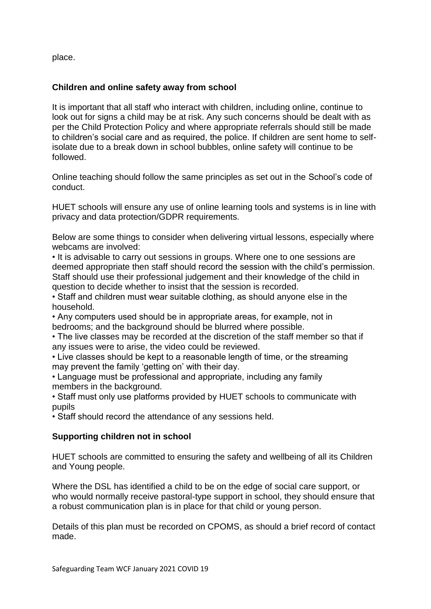place.

## **Children and online safety away from school**

It is important that all staff who interact with children, including online, continue to look out for signs a child may be at risk. Any such concerns should be dealt with as per the Child Protection Policy and where appropriate referrals should still be made to children's social care and as required, the police. If children are sent home to selfisolate due to a break down in school bubbles, online safety will continue to be followed.

Online teaching should follow the same principles as set out in the School's code of conduct.

HUET schools will ensure any use of online learning tools and systems is in line with privacy and data protection/GDPR requirements.

Below are some things to consider when delivering virtual lessons, especially where webcams are involved:

• It is advisable to carry out sessions in groups. Where one to one sessions are deemed appropriate then staff should record the session with the child's permission. Staff should use their professional judgement and their knowledge of the child in question to decide whether to insist that the session is recorded.

• Staff and children must wear suitable clothing, as should anyone else in the household.

• Any computers used should be in appropriate areas, for example, not in bedrooms; and the background should be blurred where possible.

• The live classes may be recorded at the discretion of the staff member so that if any issues were to arise, the video could be reviewed.

• Live classes should be kept to a reasonable length of time, or the streaming may prevent the family 'getting on' with their day.

• Language must be professional and appropriate, including any family members in the background.

• Staff must only use platforms provided by HUET schools to communicate with pupils

• Staff should record the attendance of any sessions held.

## **Supporting children not in school**

HUET schools are committed to ensuring the safety and wellbeing of all its Children and Young people.

Where the DSL has identified a child to be on the edge of social care support, or who would normally receive pastoral-type support in school, they should ensure that a robust communication plan is in place for that child or young person.

Details of this plan must be recorded on CPOMS, as should a brief record of contact made.